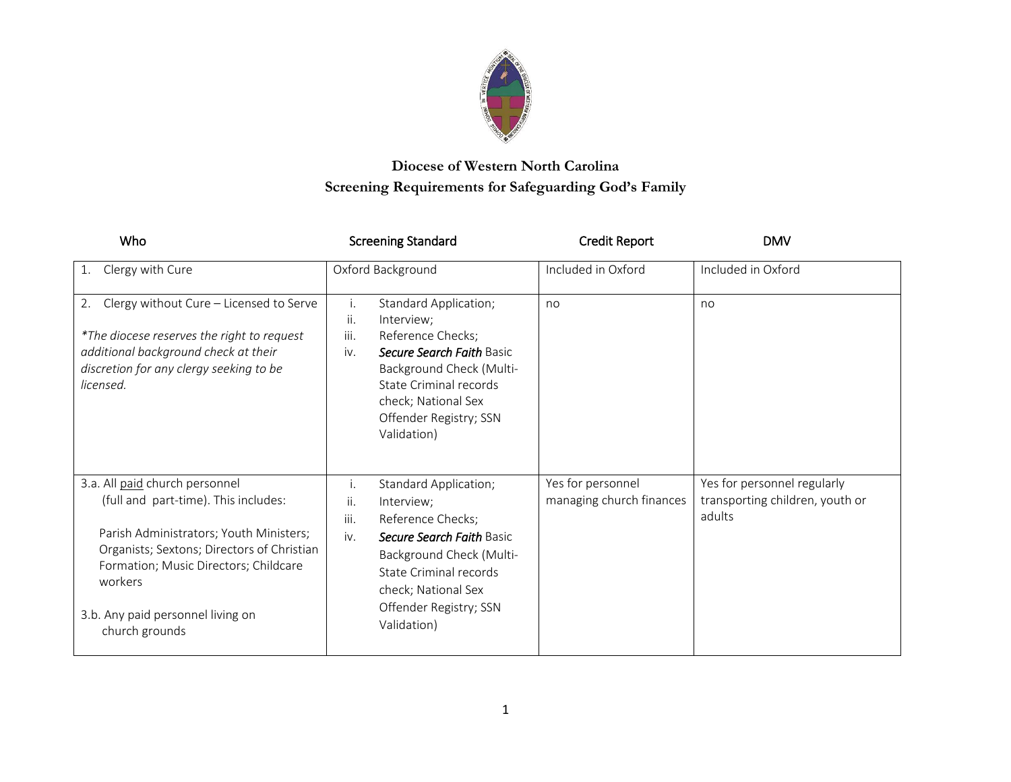

## **Diocese of Western North Carolina Screening Requirements for Safeguarding God's Family**

| Who                                                                                                                                                                                                                                                                        | <b>Screening Standard</b>                                                                                                                                                                                                               | <b>Credit Report</b>                          | <b>DMV</b>                                                               |
|----------------------------------------------------------------------------------------------------------------------------------------------------------------------------------------------------------------------------------------------------------------------------|-----------------------------------------------------------------------------------------------------------------------------------------------------------------------------------------------------------------------------------------|-----------------------------------------------|--------------------------------------------------------------------------|
| Clergy with Cure<br>1.                                                                                                                                                                                                                                                     | Oxford Background                                                                                                                                                                                                                       | Included in Oxford                            | Included in Oxford                                                       |
| Clergy without Cure - Licensed to Serve<br>2.<br>*The diocese reserves the right to request<br>additional background check at their<br>discretion for any clergy seeking to be<br>licensed.                                                                                | Standard Application;<br>Ι.<br>Interview;<br>ii.<br>iii.<br>Reference Checks;<br>Secure Search Faith Basic<br>iv.<br>Background Check (Multi-<br>State Criminal records<br>check; National Sex<br>Offender Registry; SSN<br>Validation) | no                                            | no                                                                       |
| 3.a. All paid church personnel<br>(full and part-time). This includes:<br>Parish Administrators; Youth Ministers;<br>Organists; Sextons; Directors of Christian<br>Formation; Music Directors; Childcare<br>workers<br>3.b. Any paid personnel living on<br>church grounds | Standard Application;<br>ı.<br>Interview:<br>ii.<br>iii.<br>Reference Checks;<br>Secure Search Faith Basic<br>iv.<br>Background Check (Multi-<br>State Criminal records<br>check; National Sex<br>Offender Registry; SSN<br>Validation) | Yes for personnel<br>managing church finances | Yes for personnel regularly<br>transporting children, youth or<br>adults |